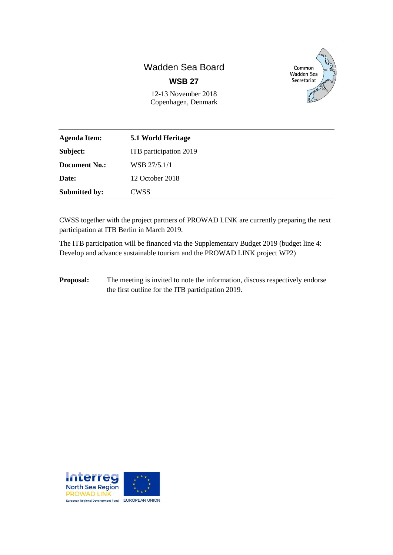# Wadden Sea Board **WSB 27**



12-13 November 2018 Copenhagen, Denmark

| <b>Agenda Item:</b>  | 5.1 World Heritage     |
|----------------------|------------------------|
| Subject:             | ITB participation 2019 |
| <b>Document No.:</b> | WSB 27/5.1/1           |
| Date:                | 12 October 2018        |
| <b>Submitted by:</b> | CWSS                   |

CWSS together with the project partners of PROWAD LINK are currently preparing the next participation at ITB Berlin in March 2019.

The ITB participation will be financed via the Supplementary Budget 2019 (budget line 4: Develop and advance sustainable tourism and the PROWAD LINK project WP2)

**Proposal:** The meeting is invited to note the information, discuss respectively endorse the first outline for the ITB participation 2019.

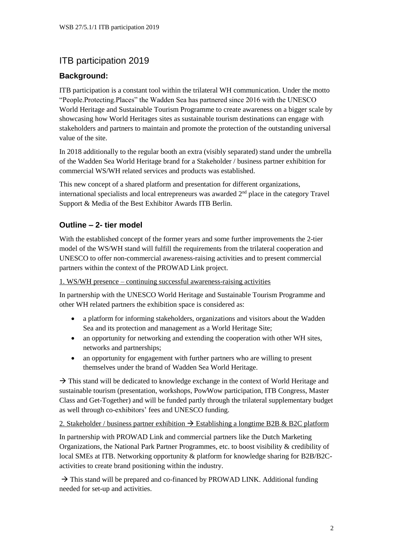## ITB participation 2019

### **Background:**

ITB participation is a constant tool within the trilateral WH communication. Under the motto "People.Protecting.Places" the Wadden Sea has partnered since 2016 with the UNESCO World Heritage and Sustainable Tourism Programme to create awareness on a bigger scale by showcasing how World Heritages sites as sustainable tourism destinations can engage with stakeholders and partners to maintain and promote the protection of the outstanding universal value of the site.

In 2018 additionally to the regular booth an extra (visibly separated) stand under the umbrella of the Wadden Sea World Heritage brand for a Stakeholder / business partner exhibition for commercial WS/WH related services and products was established.

This new concept of a shared platform and presentation for different organizations, international specialists and local entrepreneurs was awarded  $2<sup>nd</sup>$  place in the category Travel Support & Media of the Best Exhibitor Awards ITB Berlin.

### **Outline – 2- tier model**

With the established concept of the former years and some further improvements the 2-tier model of the WS/WH stand will fulfill the requirements from the trilateral cooperation and UNESCO to offer non-commercial awareness-raising activities and to present commercial partners within the context of the PROWAD Link project.

#### 1. WS/WH presence – continuing successful awareness-raising activities

In partnership with the UNESCO World Heritage and Sustainable Tourism Programme and other WH related partners the exhibition space is considered as:

- a platform for informing stakeholders, organizations and visitors about the Wadden Sea and its protection and management as a World Heritage Site;
- an opportunity for networking and extending the cooperation with other WH sites, networks and partnerships;
- an opportunity for engagement with further partners who are willing to present themselves under the brand of Wadden Sea World Heritage.

 $\rightarrow$  This stand will be dedicated to knowledge exchange in the context of World Heritage and sustainable tourism (presentation, workshops, PowWow participation, ITB Congress, Master Class and Get-Together) and will be funded partly through the trilateral supplementary budget as well through co-exhibitors' fees and UNESCO funding.

#### 2. Stakeholder / business partner exhibition  $\rightarrow$  Establishing a longtime B2B & B2C platform

In partnership with PROWAD Link and commercial partners like the Dutch Marketing Organizations, the National Park Partner Programmes, etc. to boost visibility & credibility of local SMEs at ITB. Networking opportunity & platform for knowledge sharing for B2B/B2Cactivities to create brand positioning within the industry.

 $\rightarrow$  This stand will be prepared and co-financed by PROWAD LINK. Additional funding needed for set-up and activities.